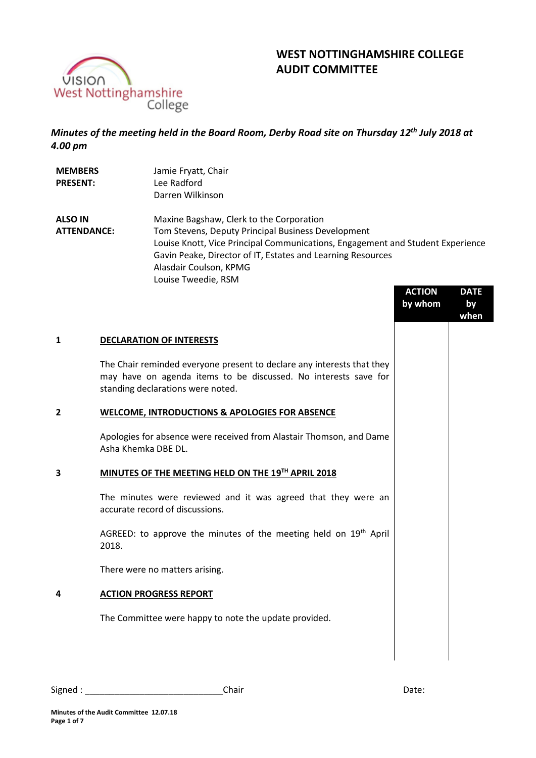

# **WEST NOTTINGHAMSHIRE COLLEGE AUDIT COMMITTEE**

# *Minutes of the meeting held in the Board Room, Derby Road site on Thursday 12 th July 2018 at 4.00 pm*

| <b>MEMBERS</b><br><b>PRESENT:</b>    | Jamie Fryatt, Chair<br>Lee Radford<br>Darren Wilkinson                                                                                                                                                                                                                                           |
|--------------------------------------|--------------------------------------------------------------------------------------------------------------------------------------------------------------------------------------------------------------------------------------------------------------------------------------------------|
| <b>ALSO IN</b><br><b>ATTENDANCE:</b> | Maxine Bagshaw, Clerk to the Corporation<br>Tom Stevens, Deputy Principal Business Development<br>Louise Knott, Vice Principal Communications, Engagement and Student Experience<br>Gavin Peake, Director of IT, Estates and Learning Resources<br>Alasdair Coulson, KPMG<br>Louise Tweedie, RSM |

|                |                                                                                                                                                                                | <b>ACTION</b><br>by whom | <b>DATE</b><br>by<br>when |
|----------------|--------------------------------------------------------------------------------------------------------------------------------------------------------------------------------|--------------------------|---------------------------|
| $\mathbf{1}$   | <b>DECLARATION OF INTERESTS</b>                                                                                                                                                |                          |                           |
|                | The Chair reminded everyone present to declare any interests that they<br>may have on agenda items to be discussed. No interests save for<br>standing declarations were noted. |                          |                           |
| $\overline{2}$ | <b>WELCOME, INTRODUCTIONS &amp; APOLOGIES FOR ABSENCE</b>                                                                                                                      |                          |                           |
|                | Apologies for absence were received from Alastair Thomson, and Dame<br>Asha Khemka DBE DL.                                                                                     |                          |                           |
| 3              | MINUTES OF THE MEETING HELD ON THE 19TH APRIL 2018                                                                                                                             |                          |                           |
|                | The minutes were reviewed and it was agreed that they were an<br>accurate record of discussions.                                                                               |                          |                           |
|                | AGREED: to approve the minutes of the meeting held on $19th$ April<br>2018.                                                                                                    |                          |                           |
|                | There were no matters arising.                                                                                                                                                 |                          |                           |
| 4              | <b>ACTION PROGRESS REPORT</b>                                                                                                                                                  |                          |                           |
|                | The Committee were happy to note the update provided.                                                                                                                          |                          |                           |
|                |                                                                                                                                                                                |                          |                           |
|                |                                                                                                                                                                                |                          |                           |

| Signed | hair<br>aldi. | .<br>Udle. |
|--------|---------------|------------|
|--------|---------------|------------|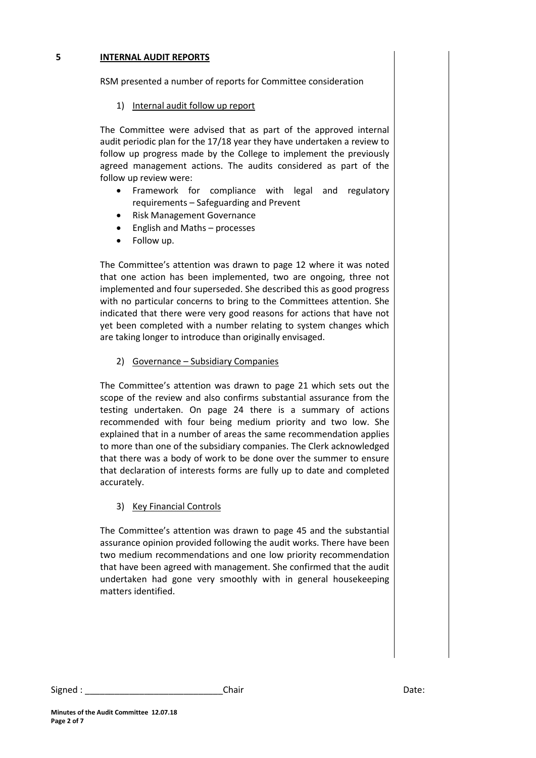#### **5 INTERNAL AUDIT REPORTS**

RSM presented a number of reports for Committee consideration

## 1) Internal audit follow up report

The Committee were advised that as part of the approved internal audit periodic plan for the 17/18 year they have undertaken a review to follow up progress made by the College to implement the previously agreed management actions. The audits considered as part of the follow up review were:

- Framework for compliance with legal and regulatory requirements – Safeguarding and Prevent
- Risk Management Governance
- English and Maths processes
- Follow up.

The Committee's attention was drawn to page 12 where it was noted that one action has been implemented, two are ongoing, three not implemented and four superseded. She described this as good progress with no particular concerns to bring to the Committees attention. She indicated that there were very good reasons for actions that have not yet been completed with a number relating to system changes which are taking longer to introduce than originally envisaged.

2) Governance – Subsidiary Companies

The Committee's attention was drawn to page 21 which sets out the scope of the review and also confirms substantial assurance from the testing undertaken. On page 24 there is a summary of actions recommended with four being medium priority and two low. She explained that in a number of areas the same recommendation applies to more than one of the subsidiary companies. The Clerk acknowledged that there was a body of work to be done over the summer to ensure that declaration of interests forms are fully up to date and completed accurately.

#### 3) Key Financial Controls

The Committee's attention was drawn to page 45 and the substantial assurance opinion provided following the audit works. There have been two medium recommendations and one low priority recommendation that have been agreed with management. She confirmed that the audit undertaken had gone very smoothly with in general housekeeping matters identified.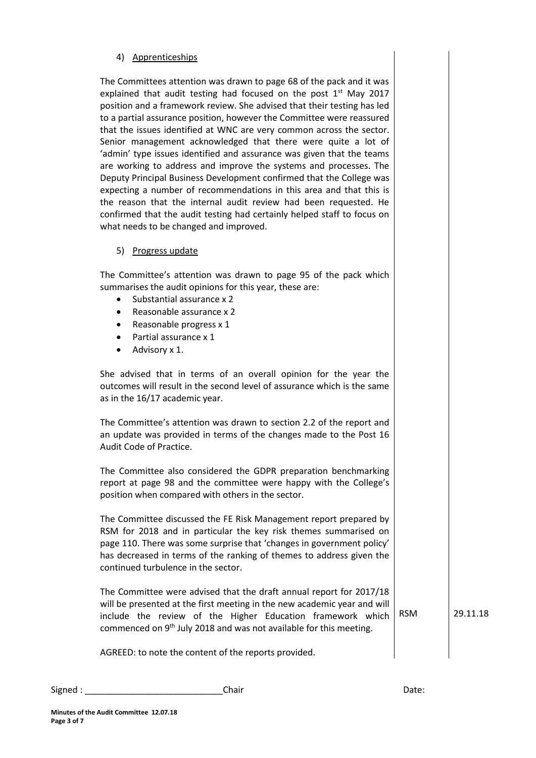## 4) Apprenticeships

The Committees attention was drawn to page 68 of the pack and it was explained that audit testing had focused on the post  $1<sup>st</sup>$  May 2017 position and a framework review. She advised that their testing has led to a partial assurance position, however the Committee were reassured that the issues identified at WNC are very common across the sector. Senior management acknowledged that there were quite a lot of 'admin' type issues identified and assurance was given that the teams are working to address and improve the systems and processes. The Deputy Principal Business Development confirmed that the College was expecting a number of recommendations in this area and that this is the reason that the internal audit review had been requested. He confirmed that the audit testing had certainly helped staff to focus on what needs to be changed and improved.

5) Progress update

The Committee's attention was drawn to page 95 of the pack which summarises the audit opinions for this year, these are:

- Substantial assurance x 2
- Reasonable assurance x 2
- Reasonable progress x 1
- Partial assurance x 1
- Advisory x 1.

She advised that in terms of an overall opinion for the year the outcomes will result in the second level of assurance which is the same as in the 16/17 academic year.

The Committee's attention was drawn to section 2.2 of the report and an update was provided in terms of the changes made to the Post 16 Audit Code of Practice.

The Committee also considered the GDPR preparation benchmarking report at page 98 and the committee were happy with the College's position when compared with others in the sector.

The Committee discussed the FE Risk Management report prepared by RSM for 2018 and in particular the key risk themes summarised on page 110. There was some surprise that 'changes in government policy' has decreased in terms of the ranking of themes to address given the continued turbulence in the sector.

The Committee were advised that the draft annual report for 2017/18 will be presented at the first meeting in the new academic year and will include the review of the Higher Education framework which commenced on 9th July 2018 and was not available for this meeting.

RSM 29.11.18

AGREED: to note the content of the reports provided.

Signed : \_\_\_\_\_\_\_\_\_\_\_\_\_\_\_\_\_\_\_\_\_\_\_\_\_\_\_\_Chair Date: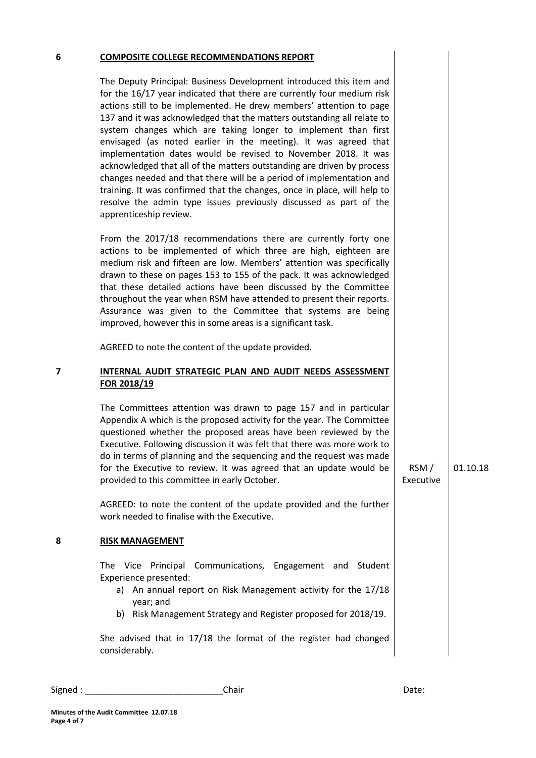#### **6 COMPOSITE COLLEGE RECOMMENDATIONS REPORT**

The Deputy Principal: Business Development introduced this item and for the 16/17 year indicated that there are currently four medium risk actions still to be implemented. He drew members' attention to page 137 and it was acknowledged that the matters outstanding all relate to system changes which are taking longer to implement than first envisaged (as noted earlier in the meeting). It was agreed that implementation dates would be revised to November 2018. It was acknowledged that all of the matters outstanding are driven by process changes needed and that there will be a period of implementation and training. It was confirmed that the changes, once in place, will help to resolve the admin type issues previously discussed as part of the apprenticeship review.

From the 2017/18 recommendations there are currently forty one actions to be implemented of which three are high, eighteen are medium risk and fifteen are low. Members' attention was specifically drawn to these on pages 153 to 155 of the pack. It was acknowledged that these detailed actions have been discussed by the Committee throughout the year when RSM have attended to present their reports. Assurance was given to the Committee that systems are being improved, however this in some areas is a significant task.

AGREED to note the content of the update provided.

#### **7 INTERNAL AUDIT STRATEGIC PLAN AND AUDIT NEEDS ASSESSMENT FOR 2018/19**

The Committees attention was drawn to page 157 and in particular Appendix A which is the proposed activity for the year. The Committee questioned whether the proposed areas have been reviewed by the Executive. Following discussion it was felt that there was more work to do in terms of planning and the sequencing and the request was made for the Executive to review. It was agreed that an update would be provided to this committee in early October.

AGREED: to note the content of the update provided and the further work needed to finalise with the Executive.

#### **8 RISK MANAGEMENT**

The Vice Principal Communications, Engagement and Student Experience presented:

- a) An annual report on Risk Management activity for the 17/18 year; and
- b) Risk Management Strategy and Register proposed for 2018/19.

She advised that in 17/18 the format of the register had changed considerably.

Signed : \_\_\_\_\_\_\_\_\_\_\_\_\_\_\_\_\_\_\_\_\_\_\_\_\_\_\_\_Chair Date:

RSM / 01.10.18

Executive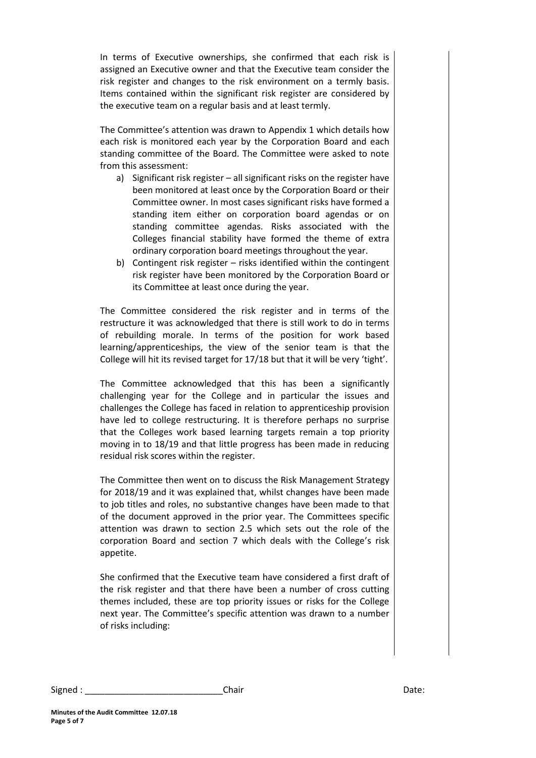In terms of Executive ownerships, she confirmed that each risk is assigned an Executive owner and that the Executive team consider the risk register and changes to the risk environment on a termly basis. Items contained within the significant risk register are considered by the executive team on a regular basis and at least termly.

The Committee's attention was drawn to Appendix 1 which details how each risk is monitored each year by the Corporation Board and each standing committee of the Board. The Committee were asked to note from this assessment:

- a) Significant risk register all significant risks on the register have been monitored at least once by the Corporation Board or their Committee owner. In most cases significant risks have formed a standing item either on corporation board agendas or on standing committee agendas. Risks associated with the Colleges financial stability have formed the theme of extra ordinary corporation board meetings throughout the year.
- b) Contingent risk register risks identified within the contingent risk register have been monitored by the Corporation Board or its Committee at least once during the year.

The Committee considered the risk register and in terms of the restructure it was acknowledged that there is still work to do in terms of rebuilding morale. In terms of the position for work based learning/apprenticeships, the view of the senior team is that the College will hit its revised target for 17/18 but that it will be very 'tight'.

The Committee acknowledged that this has been a significantly challenging year for the College and in particular the issues and challenges the College has faced in relation to apprenticeship provision have led to college restructuring. It is therefore perhaps no surprise that the Colleges work based learning targets remain a top priority moving in to 18/19 and that little progress has been made in reducing residual risk scores within the register.

The Committee then went on to discuss the Risk Management Strategy for 2018/19 and it was explained that, whilst changes have been made to job titles and roles, no substantive changes have been made to that of the document approved in the prior year. The Committees specific attention was drawn to section 2.5 which sets out the role of the corporation Board and section 7 which deals with the College's risk appetite.

She confirmed that the Executive team have considered a first draft of the risk register and that there have been a number of cross cutting themes included, these are top priority issues or risks for the College next year. The Committee's specific attention was drawn to a number of risks including:

Signed : \_\_\_\_\_\_\_\_\_\_\_\_\_\_\_\_\_\_\_\_\_\_\_\_\_\_\_\_Chair Date: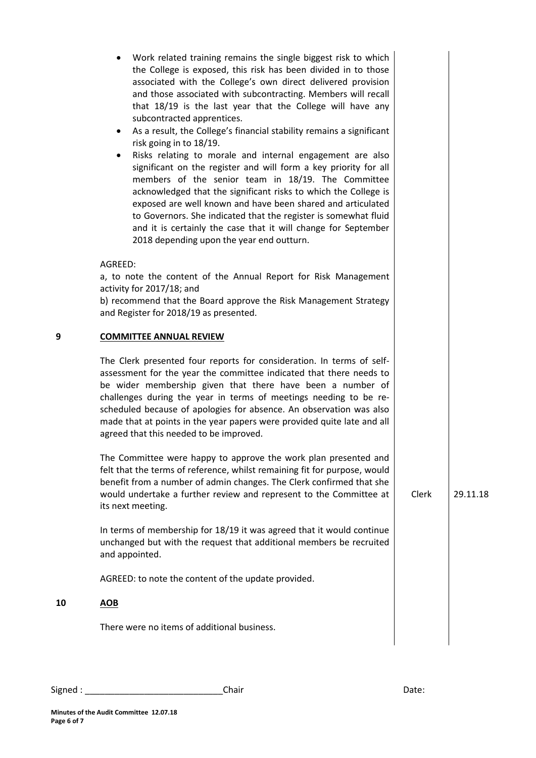|    | Work related training remains the single biggest risk to which<br>the College is exposed, this risk has been divided in to those<br>associated with the College's own direct delivered provision<br>and those associated with subcontracting. Members will recall<br>that 18/19 is the last year that the College will have any<br>subcontracted apprentices.<br>As a result, the College's financial stability remains a significant<br>$\bullet$<br>risk going in to 18/19.<br>Risks relating to morale and internal engagement are also<br>$\bullet$<br>significant on the register and will form a key priority for all<br>members of the senior team in 18/19. The Committee<br>acknowledged that the significant risks to which the College is<br>exposed are well known and have been shared and articulated<br>to Governors. She indicated that the register is somewhat fluid<br>and it is certainly the case that it will change for September<br>2018 depending upon the year end outturn. |       |          |
|----|-------------------------------------------------------------------------------------------------------------------------------------------------------------------------------------------------------------------------------------------------------------------------------------------------------------------------------------------------------------------------------------------------------------------------------------------------------------------------------------------------------------------------------------------------------------------------------------------------------------------------------------------------------------------------------------------------------------------------------------------------------------------------------------------------------------------------------------------------------------------------------------------------------------------------------------------------------------------------------------------------------|-------|----------|
|    | AGREED:<br>a, to note the content of the Annual Report for Risk Management<br>activity for 2017/18; and<br>b) recommend that the Board approve the Risk Management Strategy<br>and Register for 2018/19 as presented.                                                                                                                                                                                                                                                                                                                                                                                                                                                                                                                                                                                                                                                                                                                                                                                 |       |          |
| 9  | <b>COMMITTEE ANNUAL REVIEW</b>                                                                                                                                                                                                                                                                                                                                                                                                                                                                                                                                                                                                                                                                                                                                                                                                                                                                                                                                                                        |       |          |
|    | The Clerk presented four reports for consideration. In terms of self-<br>assessment for the year the committee indicated that there needs to<br>be wider membership given that there have been a number of<br>challenges during the year in terms of meetings needing to be re-<br>scheduled because of apologies for absence. An observation was also<br>made that at points in the year papers were provided quite late and all<br>agreed that this needed to be improved.                                                                                                                                                                                                                                                                                                                                                                                                                                                                                                                          |       |          |
|    | The Committee were happy to approve the work plan presented and<br>felt that the terms of reference, whilst remaining fit for purpose, would<br>benefit from a number of admin changes. The Clerk confirmed that she<br>would undertake a further review and represent to the Committee at<br>its next meeting.                                                                                                                                                                                                                                                                                                                                                                                                                                                                                                                                                                                                                                                                                       | Clerk | 29.11.18 |
|    | In terms of membership for 18/19 it was agreed that it would continue<br>unchanged but with the request that additional members be recruited<br>and appointed.                                                                                                                                                                                                                                                                                                                                                                                                                                                                                                                                                                                                                                                                                                                                                                                                                                        |       |          |
|    | AGREED: to note the content of the update provided.                                                                                                                                                                                                                                                                                                                                                                                                                                                                                                                                                                                                                                                                                                                                                                                                                                                                                                                                                   |       |          |
| 10 | <b>AOB</b>                                                                                                                                                                                                                                                                                                                                                                                                                                                                                                                                                                                                                                                                                                                                                                                                                                                                                                                                                                                            |       |          |
|    | There were no items of additional business.                                                                                                                                                                                                                                                                                                                                                                                                                                                                                                                                                                                                                                                                                                                                                                                                                                                                                                                                                           |       |          |
|    |                                                                                                                                                                                                                                                                                                                                                                                                                                                                                                                                                                                                                                                                                                                                                                                                                                                                                                                                                                                                       |       |          |

**10 AOB**